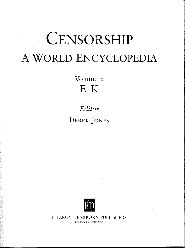# **CENSORSHIP** A WORLD ENCYCLOPEDIA

Volume z  $E-K$ 

*Editor* **DEREK JONES**



FITZROY DEARBORN PUBLISHERS

LONDON • CHICAGO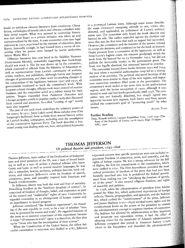## JAUNATNEI KAITIGA LITERATURES APKAROŠANAS KOMISIJA 1274

kiosks to withdraw obscene literature from circulation. Cheap fiction, anthologies of bawdy jokes, and obscene calendars were their initial targets. What was unusual in censorship history was that what began as a private initiative was taken up and institutionalized by the state. A state committee came into legal existence in 1927, supervised by the minister of education, Janis Rainis. Ironically enough, he had himself been a victim of cenin is. Ironically enough, in had inhibited by tearist authorities  $\frac{1}{2}$  rship when  $\frac{1}{2}$  when  $\frac{1}{2}$ 

Offensive literature was now listed in the *Vaidibes Vestnesis* Offensive literature was now noted in  $\frac{m}{n}$ . sovernment riefully, powering  $\log e^{-\omega}$  by the committee, should not stock it. The list was drawn up by the committee, which consisted of officials from the Ministry of Education as well as representatives from Latvia's community of authors, artists, teachers, and publishers. Although Latvia saw frequent changes of government, and there were far-reaching changes in the composition of the legislature between 1927 and 1930, all governments continued to back the committee's work. With frequent cabinet changes, officials took more control of routine business, and the committee acted as a rubber stamp for their actions. Targets expanded from *Pinkerton Detective* and Chicago gangster novels to popular medical texts that discussed  $\epsilon$ hicago gangstei novels to popular  $\epsilon$  coming of age" novels  $\frac{\text{with control and a}}{\text{with}}$ 

were also targeted.<br>The case of one such book underlines the arbitrary power of the censor. In I931, Janis Luke's novel *Musu valodas ermi* (Our Language's Buffoons) drew acclaim from several literary critics in Latvia's leading newspapers, including even the mouthpiece of the conservative Agrarian Party. The book describes a frustrated young man dealing with sex, love, and political hypocrisy in a provincial Latvian town. Although some scenes describe the main character's easygoing attitude to sex, critics also detected, and applauded, an indictment of Latvia's political status quo. The committee duly found the book obscene and banned its sale. The author appealed against the decision and won; this was the first time that such an appeal had succeeded. However, the committee and the minister of the interior refused to accept the decision, and continued to list the book as banned. from Latvia's highest court, the minister grudgingly struck the om Latvia's highest court, the minister grudgingly structure book from the banned list on 23 November  $x_2y_2$ , but a publish the favourable verdict in the government press. The bok was legally absolved, but remained banned in practice.

 $\frac{1}{3}$  he committee banned fewer books between 1932. and 1934,  $t$  be year when a successful authoritation coup led to a ref. ration of its activities. The political and social leastingcommittee were similar to those of the new regime,  $\frac{1}{2}$ ant committee members filled posts in the  $\frac{1}{2}$  the outboritarian committee's work ended at the same time as the authoritarian regime, with the Soviet occupation of 1940, although it con-<br>tinued to meet and ban books periodically until 1938. The com $t_{\text{inuedd}}$  to meet and ban books periodically until  $1/2$  is  $t_{\text{inuedd}}$  into mittee was not formally dissolved, but simply  $\frac{1}{2}$  accommactivity because new regimes, both Soviet and Nazi, by other plished the committee's goal of "protecting" by the protection means.

**ALDIS PURS** 

## Further Reading

*Treiis, Rihards (editor), Latvijas Republikas Prese, 1918-1940 (The* Press of the Republic of Latvia, 1918-1940), Riga: Zvaigzne ABC, 1996

# THOMAS JEFFERSON US political theorist and president, 1743-1826

Thomas Jefferson, main author of the Declaration of Independence and third president of the US, was a man of broad learning as well as a man of action: a classical scholar who knew Greek and Latin as well as several modern languages, he was also a naturalist, lawyer, architect, political theorist, book collector, and educator. Jefferson's views on freedom of speech, jector, and concaton function is inspired both American and conscience, press, and

French revolutionaries.<br>To Jefferson, liberty was both the root and fruit of morality. Describing freedom as the "firstborn daughter of science", he conceived of freedom of thought, belief, and expression as part of the natural and "inalienable" rights of men. Conversely, he regarded censorship as an abridgement of human reason and an impediment to moral progress.

Jefferson considered "the American experiment", the founding of the new republic in 1776, to be a test of whether "man may be governed by reason and truth". He regarded freedom of the press as an essential constituent of this experiment because it keeps "all avenues to truth" open: it is therefore, the first shut up by "those who fear the investigation of their actions".

When the Constitution of the United States, the oldest federalist constitution in existence, was drafted in 1787, Jefferson expressed concern that specific provisions were not included to guarantee freedom of conscience, press, and the stage of the Bil rights of habeas corpus. He was a strong advocate the constitution which of Rights, the first ten amendments to the constitution, which<br>were ratified in 1791. The First Amendment provided the most were ratified in  $1791.$  The First American provided that had ever been radical protection of freedom of the press that the federal govern formally inscribed into law. It prohibited the federal government from making any law  $\frac{1}{4}$  abridging the freedom and right or of the press". It also secured religious free

of assembly and petition.<br>In 1798, when the administration of president John Adams passed the Alien Act, which authorized deportation of foreign passed the Alien Act, which authorized dep radicals, liberals, propagandists, and agrees. Act, which curbed the "licentiousness" of the press, Jefferson<br>and James Madison (1751-1836) invoked states rights and the constitutional limits on the power of the president to contain the administration's attempt to suppress freedom of expression. The Sedition Act allowed the administration to fine, imprison. and prosecute any opposition writer; it had the effect of silencing critics for the remainder of Adams's administration. Jefferson compared this period in American history (1798-Jefferson compared this period in American history (1798)  $1800$ ) to the Inquisition and deserver